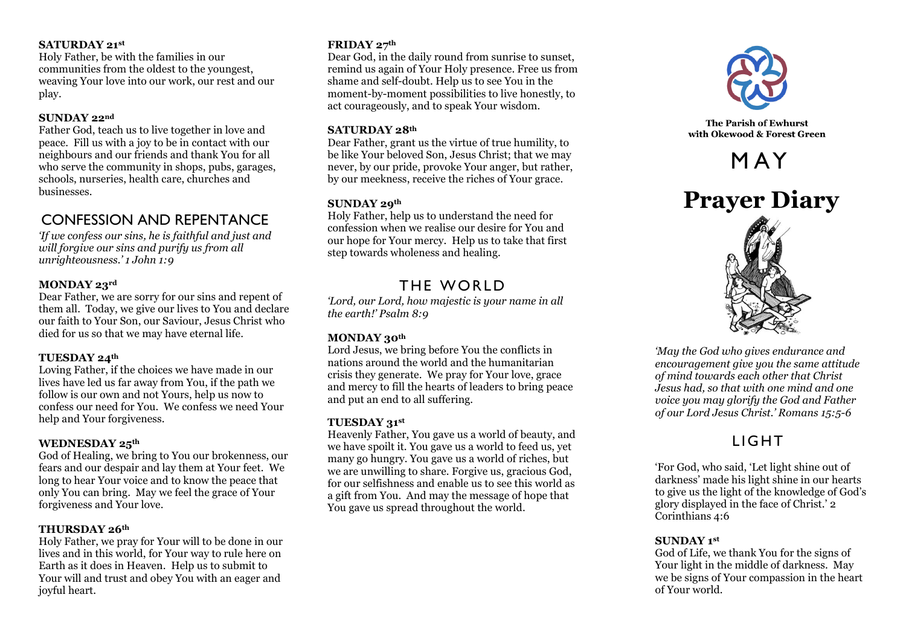#### **SATURDAY 21st**

Holy Father, be with the families in our communities from the oldest to the youngest, weaving Your love into our work, our rest and our play.

#### **SUNDAY 22nd**

Father God, teach us to live together in love and peace. Fill us with a joy to be in contact with our neighbours and our friends and thank You for all who serve the community in shops, pubs, garages, schools, nurseries, health care, churches and businesses.

### CONFESSION AND REPENTANCE

*'If we confess our sins, he is faithful and just and will forgive our sins and purify us from all unrighteousness.' 1 John 1:9*

#### **MONDAY 23rd**

Dear Father, we are sorry for our sins and repent of them all. Today, we give our lives to You and declare our faith to Your Son, our Saviour, Jesus Christ who died for us so that we may have eternal life.

#### **TUESDAY 24th**

Loving Father, if the choices we have made in our lives have led us far away from You, if the path we follow is our own and not Yours, help us now to confess our need for You. We confess we need Your help and Your forgiveness.

#### **WEDNESDAY 25th**

God of Healing, we bring to You our brokenness, our fears and our despair and lay them at Your feet. We long to hear Your voice and to know the peace that only You can bring. May we feel the grace of Your forgiveness and Your love.

#### **THURSDAY 26th**

Holy Father, we pray for Your will to be done in our lives and in this world, for Your way to rule here on Earth as it does in Heaven. Help us to submit to Your will and trust and obey You with an eager and joyful heart.

#### **FRIDAY 27th**

Dear God, in the daily round from sunrise to sunset, remind us again of Your Holy presence. Free us from shame and self-doubt. Help us to see You in the moment-by-moment possibilities to live honestly, to act courageously, and to speak Your wisdom.

#### **SATURDAY 28th**

Dear Father, grant us the virtue of true humility, to be like Your beloved Son, Jesus Christ; that we may never, by our pride, provoke Your anger, but rather, by our meekness, receive the riches of Your grace.

#### **SUNDAY 29th**

Holy Father, help us to understand the need for confession when we realise our desire for You and our hope for Your mercy. Help us to take that first step towards wholeness and healing.

### THE WORLD

*'Lord, our Lord, how majestic is your name in all the earth!' Psalm 8:9*

#### **MONDAY 30th**

Lord Jesus, we bring before You the conflicts in nations around the world and the humanitarian crisis they generate. We pray for Your love, grace and mercy to fill the hearts of leaders to bring peace and put an end to all suffering.

#### **TUESDAY 31st**

Heavenly Father, You gave us a world of beauty, and we have spoilt it. You gave us a world to feed us, yet many go hungry. You gave us a world of riches, but we are unwilling to share. Forgive us, gracious God, for our selfishness and enable us to see this world as a gift from You. And may the message of hope that You gave us spread throughout the world.



The Parish of Ewhurst with Okewood & Forest Green

# M AY





*'May the God who gives endurance and encouragement give you the same attitude of mind towards each other that Christ Jesus had, so that with one mind and one voice you may glorify the God and Father of our Lord Jesus Christ.' Romans 15:5-6*

# **LIGHT**

'For God, who said, 'Let light shine out of darkness' made his light shine in our hearts to give us the light of the knowledge of God's glory displayed in the face of Christ.' 2 Corinthians 4:6

#### **SUNDAY 1st**

God of Life, we thank You for the signs of Your light in the middle of darkness. May we be signs of Your compassion in the heart of Your world.